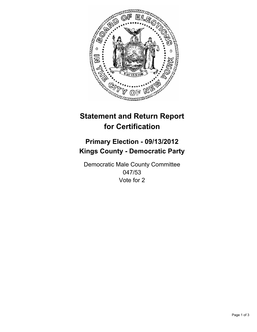

# **Statement and Return Report for Certification**

## **Primary Election - 09/13/2012 Kings County - Democratic Party**

Democratic Male County Committee 047/53 Vote for 2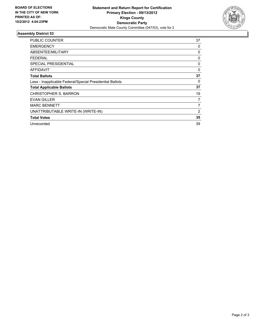

### **Assembly District 53**

| <b>PUBLIC COUNTER</b>                                    | 37             |
|----------------------------------------------------------|----------------|
| <b>EMERGENCY</b>                                         | 0              |
| ABSENTEE/MILITARY                                        | 0              |
| FEDERAL                                                  | 0              |
| <b>SPECIAL PRESIDENTIAL</b>                              | 0              |
| <b>AFFIDAVIT</b>                                         | 0              |
| <b>Total Ballots</b>                                     | 37             |
| Less - Inapplicable Federal/Special Presidential Ballots | 0              |
| <b>Total Applicable Ballots</b>                          | 37             |
| <b>CHRISTOPHER S. BARRON</b>                             | 19             |
| <b>EVAN GILLER</b>                                       | 7              |
| <b>MARC BENNETT</b>                                      | $\overline{7}$ |
| UNATTRIBUTABLE WRITE-IN (WRITE-IN)                       | 2              |
| <b>Total Votes</b>                                       | 35             |
| Unrecorded                                               | 39             |